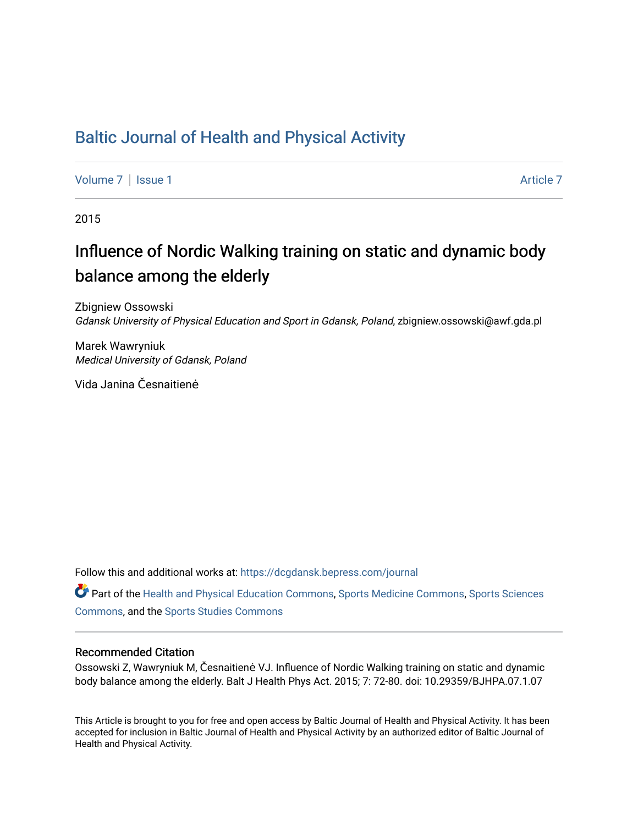## [Baltic Journal of Health and Physical Activity](https://dcgdansk.bepress.com/journal)

[Volume 7](https://dcgdansk.bepress.com/journal/vol7) | [Issue 1](https://dcgdansk.bepress.com/journal/vol7/iss1) Article 7

2015

## Influence of Nordic Walking training on static and dynamic body balance among the elderly

Zbigniew Ossowski Gdansk University of Physical Education and Sport in Gdansk, Poland, zbigniew.ossowski@awf.gda.pl

Marek Wawryniuk Medical University of Gdansk, Poland

Vida Janina Česnaitienė

Follow this and additional works at: [https://dcgdansk.bepress.com/journal](https://dcgdansk.bepress.com/journal?utm_source=dcgdansk.bepress.com%2Fjournal%2Fvol7%2Fiss1%2F7&utm_medium=PDF&utm_campaign=PDFCoverPages)

Part of the [Health and Physical Education Commons](http://network.bepress.com/hgg/discipline/1327?utm_source=dcgdansk.bepress.com%2Fjournal%2Fvol7%2Fiss1%2F7&utm_medium=PDF&utm_campaign=PDFCoverPages), [Sports Medicine Commons,](http://network.bepress.com/hgg/discipline/1331?utm_source=dcgdansk.bepress.com%2Fjournal%2Fvol7%2Fiss1%2F7&utm_medium=PDF&utm_campaign=PDFCoverPages) [Sports Sciences](http://network.bepress.com/hgg/discipline/759?utm_source=dcgdansk.bepress.com%2Fjournal%2Fvol7%2Fiss1%2F7&utm_medium=PDF&utm_campaign=PDFCoverPages) [Commons](http://network.bepress.com/hgg/discipline/759?utm_source=dcgdansk.bepress.com%2Fjournal%2Fvol7%2Fiss1%2F7&utm_medium=PDF&utm_campaign=PDFCoverPages), and the [Sports Studies Commons](http://network.bepress.com/hgg/discipline/1198?utm_source=dcgdansk.bepress.com%2Fjournal%2Fvol7%2Fiss1%2F7&utm_medium=PDF&utm_campaign=PDFCoverPages) 

#### Recommended Citation

Ossowski Z, Wawryniuk M, Česnaitienė VJ. Influence of Nordic Walking training on static and dynamic body balance among the elderly. Balt J Health Phys Act. 2015; 7: 72-80. doi: 10.29359/BJHPA.07.1.07

This Article is brought to you for free and open access by Baltic Journal of Health and Physical Activity. It has been accepted for inclusion in Baltic Journal of Health and Physical Activity by an authorized editor of Baltic Journal of Health and Physical Activity.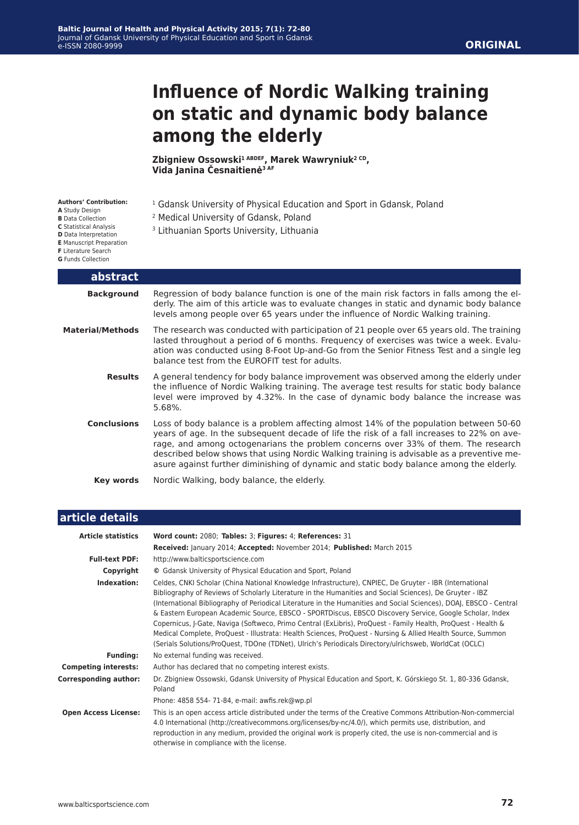#### **ORIGINAL**

# **Influence of Nordic Walking training on static and dynamic body balance among the elderly**

**Zbigniew Ossowski1 ABDEF, Marek Wawryniuk2 CD, Vida Janina Česnaitienė3 AF**

| <b>Authors' Contribution:</b><br>A Study Design<br><b>B</b> Data Collection<br>C Statistical Analysis<br>D Data Interpretation<br><b>E</b> Manuscript Preparation<br><b>F</b> Literature Search<br><b>G</b> Funds Collection | <sup>1</sup> Gdansk University of Physical Education and Sport in Gdansk, Poland<br><sup>2</sup> Medical University of Gdansk, Poland<br><sup>3</sup> Lithuanian Sports University, Lithuania                                                                                                                                                                                                                                                                     |
|------------------------------------------------------------------------------------------------------------------------------------------------------------------------------------------------------------------------------|-------------------------------------------------------------------------------------------------------------------------------------------------------------------------------------------------------------------------------------------------------------------------------------------------------------------------------------------------------------------------------------------------------------------------------------------------------------------|
| abstract                                                                                                                                                                                                                     |                                                                                                                                                                                                                                                                                                                                                                                                                                                                   |
| <b>Background</b>                                                                                                                                                                                                            | Regression of body balance function is one of the main risk factors in falls among the el-<br>derly. The aim of this article was to evaluate changes in static and dynamic body balance<br>levels among people over 65 years under the influence of Nordic Walking training.                                                                                                                                                                                      |
| <b>Material/Methods</b>                                                                                                                                                                                                      | The research was conducted with participation of 21 people over 65 years old. The training<br>lasted throughout a period of 6 months. Frequency of exercises was twice a week. Evalu-<br>ation was conducted using 8-Foot Up-and-Go from the Senior Fitness Test and a single leg<br>balance test from the EUROFIT test for adults.                                                                                                                               |
| <b>Results</b>                                                                                                                                                                                                               | A general tendency for body balance improvement was observed among the elderly under<br>the influence of Nordic Walking training. The average test results for static body balance<br>level were improved by 4.32%. In the case of dynamic body balance the increase was<br>$5.68\%$ .                                                                                                                                                                            |
| <b>Conclusions</b>                                                                                                                                                                                                           | Loss of body balance is a problem affecting almost 14% of the population between 50-60<br>years of age. In the subsequent decade of life the risk of a fall increases to 22% on ave-<br>rage, and among octogenarians the problem concerns over 33% of them. The research<br>described below shows that using Nordic Walking training is advisable as a preventive me-<br>asure against further diminishing of dynamic and static body balance among the elderly. |
| <b>Key words</b>                                                                                                                                                                                                             | Nordic Walking, body balance, the elderly.                                                                                                                                                                                                                                                                                                                                                                                                                        |

| article details              |                                                                                                                                                                                                                                                                                                                                                                                                                                                                                                                                                                                                                                                                                                                                                                                                |
|------------------------------|------------------------------------------------------------------------------------------------------------------------------------------------------------------------------------------------------------------------------------------------------------------------------------------------------------------------------------------------------------------------------------------------------------------------------------------------------------------------------------------------------------------------------------------------------------------------------------------------------------------------------------------------------------------------------------------------------------------------------------------------------------------------------------------------|
| <b>Article statistics</b>    | Word count: 2080; Tables: 3; Figures: 4; References: 31<br>Received: January 2014; Accepted: November 2014; Published: March 2015                                                                                                                                                                                                                                                                                                                                                                                                                                                                                                                                                                                                                                                              |
| <b>Full-text PDF:</b>        | http://www.balticsportscience.com                                                                                                                                                                                                                                                                                                                                                                                                                                                                                                                                                                                                                                                                                                                                                              |
| Copyright                    | © Gdansk University of Physical Education and Sport, Poland                                                                                                                                                                                                                                                                                                                                                                                                                                                                                                                                                                                                                                                                                                                                    |
| Indexation:                  | Celdes, CNKI Scholar (China National Knowledge Infrastructure), CNPIEC, De Gruyter - IBR (International<br>Bibliography of Reviews of Scholarly Literature in the Humanities and Social Sciences), De Gruyter - IBZ<br>(International Bibliography of Periodical Literature in the Humanities and Social Sciences), DOAJ, EBSCO - Central<br>& Eastern European Academic Source, EBSCO - SPORTDiscus, EBSCO Discovery Service, Google Scholar, Index<br>Copernicus, J-Gate, Naviga (Softweco, Primo Central (ExLibris), ProQuest - Family Health, ProQuest - Health &<br>Medical Complete, ProQuest - Illustrata: Health Sciences, ProQuest - Nursing & Allied Health Source, Summon<br>(Serials Solutions/ProQuest, TDOne (TDNet), Ulrich's Periodicals Directory/ulrichsweb, WorldCat (OCLC) |
| <b>Funding:</b>              | No external funding was received.                                                                                                                                                                                                                                                                                                                                                                                                                                                                                                                                                                                                                                                                                                                                                              |
| <b>Competing interests:</b>  | Author has declared that no competing interest exists.                                                                                                                                                                                                                                                                                                                                                                                                                                                                                                                                                                                                                                                                                                                                         |
| <b>Corresponding author:</b> | Dr. Zbigniew Ossowski, Gdansk University of Physical Education and Sport, K. Górskiego St. 1, 80-336 Gdansk,<br>Poland                                                                                                                                                                                                                                                                                                                                                                                                                                                                                                                                                                                                                                                                         |
|                              | Phone: 4858 554- 71-84, e-mail: awfis.rek@wp.pl                                                                                                                                                                                                                                                                                                                                                                                                                                                                                                                                                                                                                                                                                                                                                |
| <b>Open Access License:</b>  | This is an open access article distributed under the terms of the Creative Commons Attribution-Non-commercial<br>4.0 International (http://creativecommons.org/licenses/by-nc/4.0/), which permits use, distribution, and<br>reproduction in any medium, provided the original work is properly cited, the use is non-commercial and is<br>otherwise in compliance with the license.                                                                                                                                                                                                                                                                                                                                                                                                           |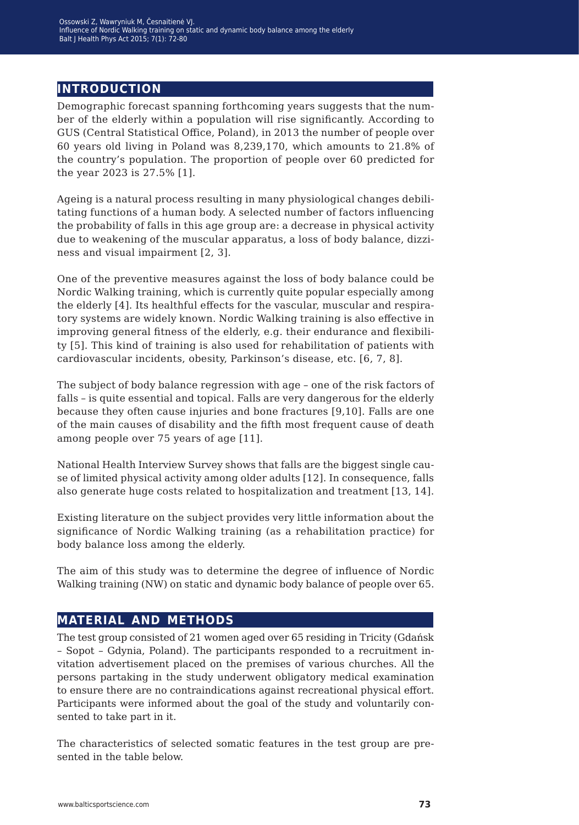## **introduction**

Demographic forecast spanning forthcoming years suggests that the number of the elderly within a population will rise significantly. According to GUS (Central Statistical Office, Poland), in 2013 the number of people over 60 years old living in Poland was 8,239,170, which amounts to 21.8% of the country's population. The proportion of people over 60 predicted for the year 2023 is 27.5% [1].

Ageing is a natural process resulting in many physiological changes debilitating functions of a human body. A selected number of factors influencing the probability of falls in this age group are: a decrease in physical activity due to weakening of the muscular apparatus, a loss of body balance, dizziness and visual impairment [2, 3].

One of the preventive measures against the loss of body balance could be Nordic Walking training, which is currently quite popular especially among the elderly [4]. Its healthful effects for the vascular, muscular and respiratory systems are widely known. Nordic Walking training is also effective in improving general fitness of the elderly, e.g. their endurance and flexibility [5]. This kind of training is also used for rehabilitation of patients with cardiovascular incidents, obesity, Parkinson's disease, etc. [6, 7, 8].

The subject of body balance regression with age – one of the risk factors of falls – is quite essential and topical. Falls are very dangerous for the elderly because they often cause injuries and bone fractures [9,10]. Falls are one of the main causes of disability and the fifth most frequent cause of death among people over 75 years of age [11].

National Health Interview Survey shows that falls are the biggest single cause of limited physical activity among older adults [12]. In consequence, falls also generate huge costs related to hospitalization and treatment [13, 14].

Existing literature on the subject provides very little information about the significance of Nordic Walking training (as a rehabilitation practice) for body balance loss among the elderly.

The aim of this study was to determine the degree of influence of Nordic Walking training (NW) on static and dynamic body balance of people over 65.

## **material and methods**

The test group consisted of 21 women aged over 65 residing in Tricity (Gdańsk – Sopot – Gdynia, Poland). The participants responded to a recruitment invitation advertisement placed on the premises of various churches. All the persons partaking in the study underwent obligatory medical examination to ensure there are no contraindications against recreational physical effort. Participants were informed about the goal of the study and voluntarily consented to take part in it.

The characteristics of selected somatic features in the test group are presented in the table below.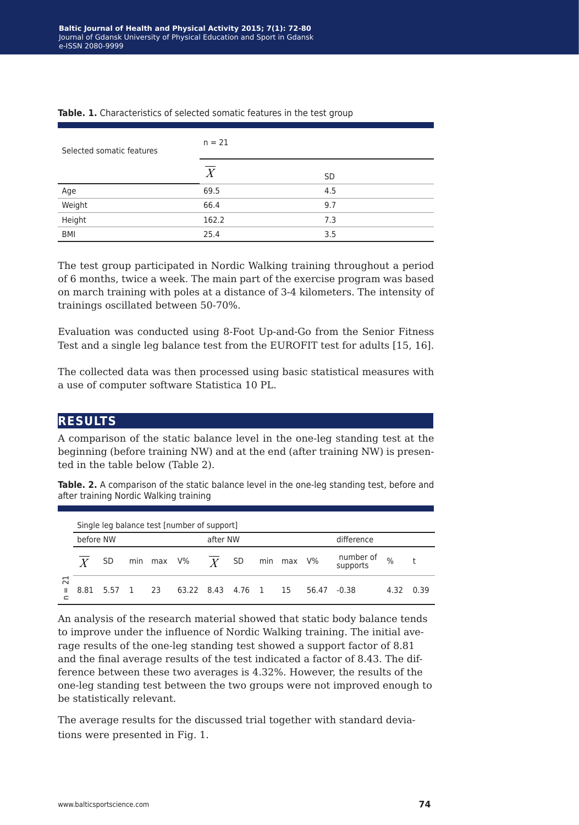| Selected somatic features | $n = 21$         |           |  |  |  |  |
|---------------------------|------------------|-----------|--|--|--|--|
|                           | $\boldsymbol{X}$ | <b>SD</b> |  |  |  |  |
| Age                       | 69.5             | 4.5       |  |  |  |  |
| Weight                    | 66.4             | 9.7       |  |  |  |  |
| Height                    | 162.2            | 7.3       |  |  |  |  |
| BMI                       | 25.4             | 3.5       |  |  |  |  |

#### **Table. 1.** Characteristics of selected somatic features in the test group

The test group participated in Nordic Walking training throughout a period of 6 months, twice a week. The main part of the exercise program was based on march training with poles at a distance of 3-4 kilometers. The intensity of trainings oscillated between 50-70%.

Evaluation was conducted using 8-Foot Up-and-Go from the Senior Fitness Test and a single leg balance test from the EUROFIT test for adults [15, 16].

The collected data was then processed using basic statistical measures with a use of computer software Statistica 10 PL.

#### **results**

A comparison of the static balance level in the one-leg standing test at the beginning (before training NW) and at the end (after training NW) is presented in the table below (Table 2).

**Table. 2.** A comparison of the static balance level in the one-leg standing test, before and after training Nordic Walking training

|                                         | Single leg balance test [number of support] |           |  |    |                      |  |  |  |            |       |                       |      |      |
|-----------------------------------------|---------------------------------------------|-----------|--|----|----------------------|--|--|--|------------|-------|-----------------------|------|------|
|                                         | after NW<br>before NW                       |           |  |    |                      |  |  |  |            |       |                       |      |      |
|                                         |                                             | <b>SD</b> |  |    | min max $V\%$ $Y$ SD |  |  |  | min max V% |       | number of<br>supports | $\%$ | t    |
| $\overline{\phantom{0}}$<br>$\sim$<br>Ш | 8.81                                        | 5.57 1    |  | 23 | 63.22 8.43 4.76 1    |  |  |  | 15         | 56.47 | $-0.38$               | 4.32 | 0.39 |

An analysis of the research material showed that static body balance tends to improve under the influence of Nordic Walking training. The initial average results of the one-leg standing test showed a support factor of 8.81 and the final average results of the test indicated a factor of 8.43. The difference between these two averages is 4.32%. However, the results of the one-leg standing test between the two groups were not improved enough to be statistically relevant.

The average results for the discussed trial together with standard deviations were presented in Fig. 1.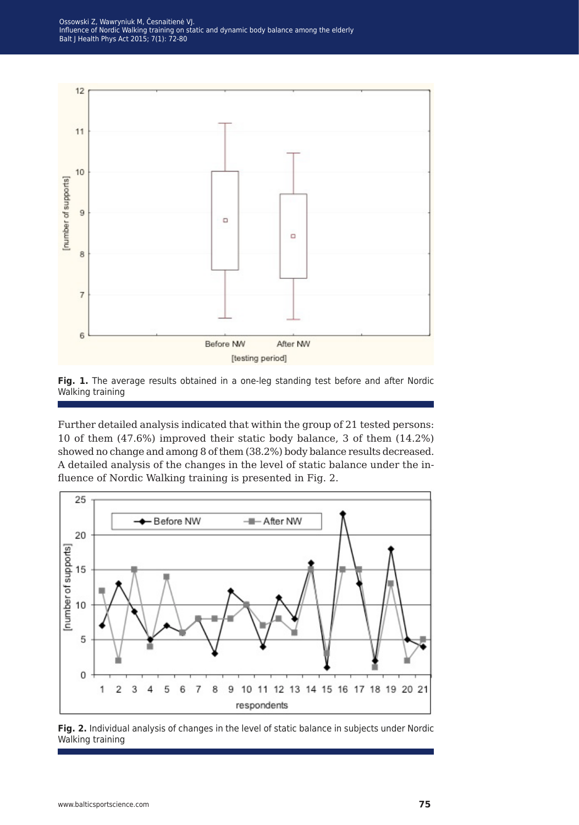Ossowski Z, Wawryniuk M, Česnaitienė VJ. Influence of Nordic Walking training on static and dynamic body balance among the elderly Balt J Health Phys Act 2015; 7(1): 72-80





Further detailed analysis indicated that within the group of 21 tested persons: 10 of them (47.6%) improved their static body balance, 3 of them (14.2%) showed no change and among 8 of them (38.2%) body balance results decreased. A detailed analysis of the changes in the level of static balance under the influence of Nordic Walking training is presented in Fig. 2.



**Fig. 2.** Individual analysis of changes in the level of static balance in subjects under Nordic Walking training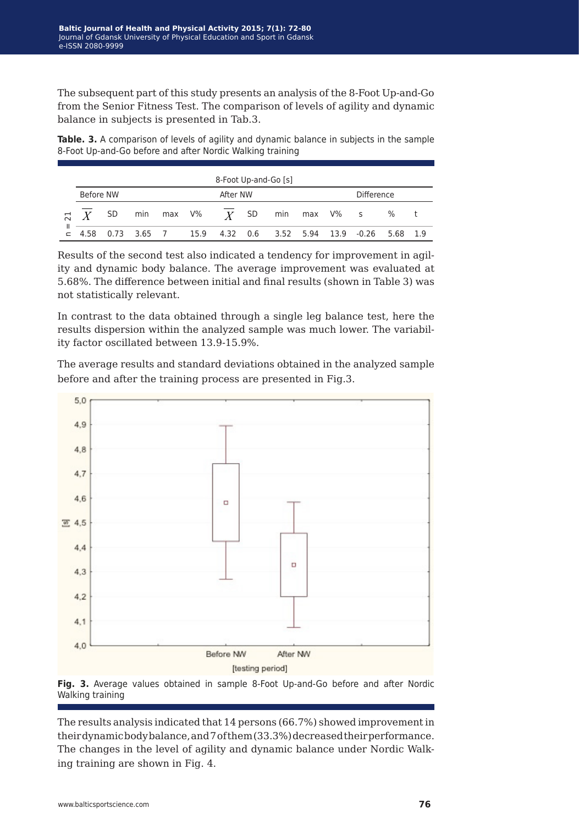The subsequent part of this study presents an analysis of the 8-Foot Up-and-Go from the Senior Fitness Test. The comparison of levels of agility and dynamic balance in subjects is presented in Tab.3.

**Table. 3.** A comparison of levels of agility and dynamic balance in subjects in the sample 8-Foot Up-and-Go before and after Nordic Walking training

| 8-Foot Up-and-Go [s] |                       |  |                       |  |  |  |  |                                                      |  |                   |  |      |  |
|----------------------|-----------------------|--|-----------------------|--|--|--|--|------------------------------------------------------|--|-------------------|--|------|--|
|                      | After NW<br>Before NW |  |                       |  |  |  |  |                                                      |  | <b>Difference</b> |  |      |  |
|                      |                       |  |                       |  |  |  |  | $\pi$ X SD min max V% $\overline{X}$ SD min max V% s |  |                   |  | $\%$ |  |
| Ш                    |                       |  | 4.58 0.73 3.65 7 15.9 |  |  |  |  | 4.32  0.6  3.52  5.94  13.9  -0.26  5.68  1.9        |  |                   |  |      |  |

Results of the second test also indicated a tendency for improvement in agility and dynamic body balance. The average improvement was evaluated at 5.68%. The difference between initial and final results (shown in Table 3) was not statistically relevant.

In contrast to the data obtained through a single leg balance test, here the results dispersion within the analyzed sample was much lower. The variability factor oscillated between 13.9-15.9%.

The average results and standard deviations obtained in the analyzed sample before and after the training process are presented in Fig.3.





The results analysis indicated that 14 persons (66.7%) showed improvement in their dynamic body balance, and 7 of them (33.3%) decreased their performance. The changes in the level of agility and dynamic balance under Nordic Walking training are shown in Fig. 4.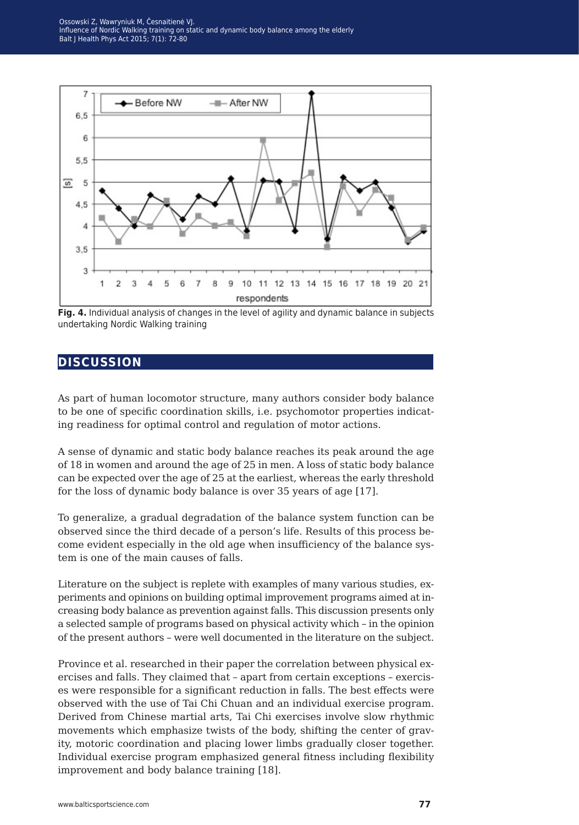Ossowski Z, Wawryniuk M, Česnaitienė VJ. Influence of Nordic Walking training on static and dynamic body balance among the elderly Balt J Health Phys Act 2015; 7(1): 72-80



**Fig. 4.** Individual analysis of changes in the level of agility and dynamic balance in subjects undertaking Nordic Walking training

### **discussion**

As part of human locomotor structure, many authors consider body balance to be one of specific coordination skills, i.e. psychomotor properties indicating readiness for optimal control and regulation of motor actions.

A sense of dynamic and static body balance reaches its peak around the age of 18 in women and around the age of 25 in men. A loss of static body balance can be expected over the age of 25 at the earliest, whereas the early threshold for the loss of dynamic body balance is over 35 years of age [17].

To generalize, a gradual degradation of the balance system function can be observed since the third decade of a person's life. Results of this process become evident especially in the old age when insufficiency of the balance system is one of the main causes of falls.

Literature on the subject is replete with examples of many various studies, experiments and opinions on building optimal improvement programs aimed at increasing body balance as prevention against falls. This discussion presents only a selected sample of programs based on physical activity which – in the opinion of the present authors – were well documented in the literature on the subject.

Province et al. researched in their paper the correlation between physical exercises and falls. They claimed that – apart from certain exceptions – exercises were responsible for a significant reduction in falls. The best effects were observed with the use of Tai Chi Chuan and an individual exercise program. Derived from Chinese martial arts, Tai Chi exercises involve slow rhythmic movements which emphasize twists of the body, shifting the center of gravity, motoric coordination and placing lower limbs gradually closer together. Individual exercise program emphasized general fitness including flexibility improvement and body balance training [18].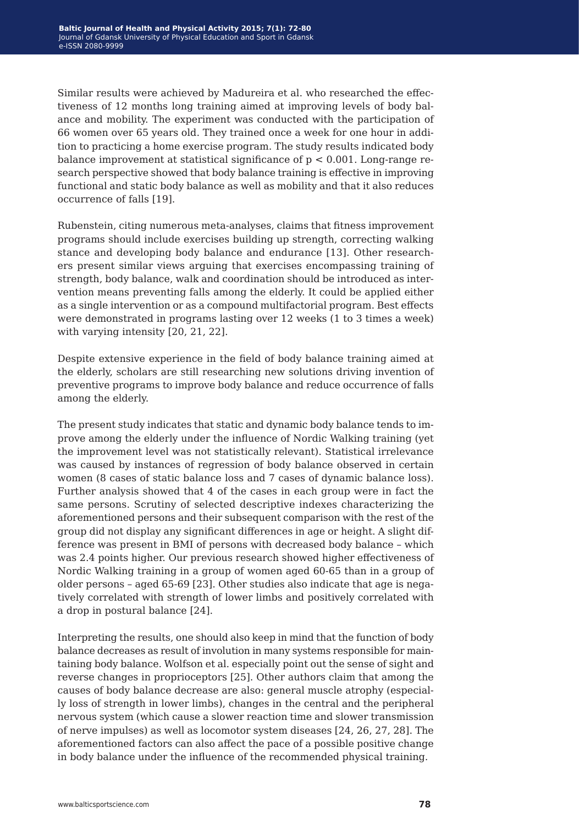Similar results were achieved by Madureira et al. who researched the effectiveness of 12 months long training aimed at improving levels of body balance and mobility. The experiment was conducted with the participation of 66 women over 65 years old. They trained once a week for one hour in addition to practicing a home exercise program. The study results indicated body balance improvement at statistical significance of  $p < 0.001$ . Long-range research perspective showed that body balance training is effective in improving functional and static body balance as well as mobility and that it also reduces occurrence of falls [19].

Rubenstein, citing numerous meta-analyses, claims that fitness improvement programs should include exercises building up strength, correcting walking stance and developing body balance and endurance [13]. Other researchers present similar views arguing that exercises encompassing training of strength, body balance, walk and coordination should be introduced as intervention means preventing falls among the elderly. It could be applied either as a single intervention or as a compound multifactorial program. Best effects were demonstrated in programs lasting over 12 weeks (1 to 3 times a week) with varying intensity [20, 21, 22].

Despite extensive experience in the field of body balance training aimed at the elderly, scholars are still researching new solutions driving invention of preventive programs to improve body balance and reduce occurrence of falls among the elderly.

The present study indicates that static and dynamic body balance tends to improve among the elderly under the influence of Nordic Walking training (yet the improvement level was not statistically relevant). Statistical irrelevance was caused by instances of regression of body balance observed in certain women (8 cases of static balance loss and 7 cases of dynamic balance loss). Further analysis showed that 4 of the cases in each group were in fact the same persons. Scrutiny of selected descriptive indexes characterizing the aforementioned persons and their subsequent comparison with the rest of the group did not display any significant differences in age or height. A slight difference was present in BMI of persons with decreased body balance – which was 2.4 points higher. Our previous research showed higher effectiveness of Nordic Walking training in a group of women aged 60-65 than in a group of older persons – aged 65-69 [23]. Other studies also indicate that age is negatively correlated with strength of lower limbs and positively correlated with a drop in postural balance [24].

Interpreting the results, one should also keep in mind that the function of body balance decreases as result of involution in many systems responsible for maintaining body balance. Wolfson et al. especially point out the sense of sight and reverse changes in proprioceptors [25]. Other authors claim that among the causes of body balance decrease are also: general muscle atrophy (especially loss of strength in lower limbs), changes in the central and the peripheral nervous system (which cause a slower reaction time and slower transmission of nerve impulses) as well as locomotor system diseases [24, 26, 27, 28]. The aforementioned factors can also affect the pace of a possible positive change in body balance under the influence of the recommended physical training.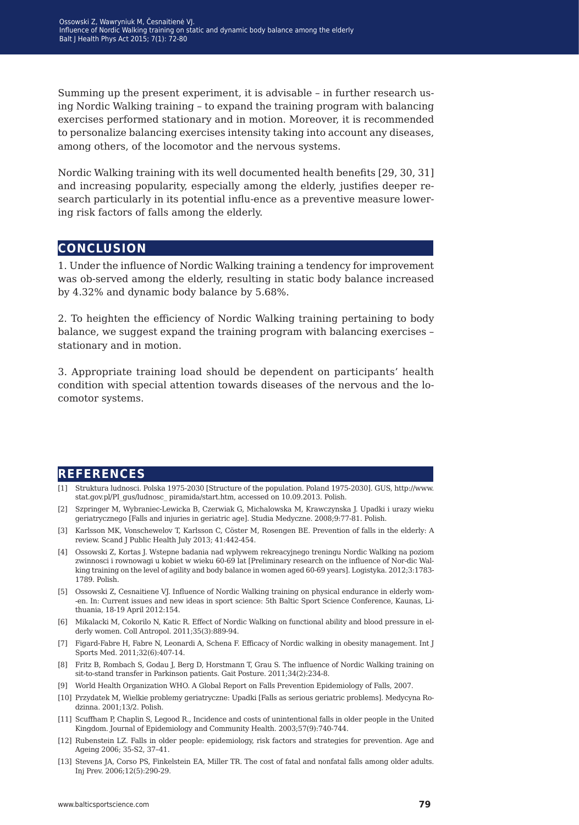Summing up the present experiment, it is advisable – in further research using Nordic Walking training – to expand the training program with balancing exercises performed stationary and in motion. Moreover, it is recommended to personalize balancing exercises intensity taking into account any diseases, among others, of the locomotor and the nervous systems.

Nordic Walking training with its well documented health benefits [29, 30, 31] and increasing popularity, especially among the elderly, justifies deeper research particularly in its potential influ-ence as a preventive measure lowering risk factors of falls among the elderly.

#### **conclusion**

1. Under the influence of Nordic Walking training a tendency for improvement was ob-served among the elderly, resulting in static body balance increased by 4.32% and dynamic body balance by 5.68%.

2. To heighten the efficiency of Nordic Walking training pertaining to body balance, we suggest expand the training program with balancing exercises – stationary and in motion.

3. Appropriate training load should be dependent on participants' health condition with special attention towards diseases of the nervous and the locomotor systems.

### **references**

- [1] Struktura ludnosci. Polska 1975-2030 [Structure of the population. Poland 1975-2030]. GUS, http://www. stat.gov.pl/PI\_gus/ludnosc\_ piramida/start.htm, accessed on 10.09.2013. Polish.
- [2] Szpringer M, Wybraniec-Lewicka B, Czerwiak G, Michalowska M, Krawczynska J. Upadki i urazy wieku geriatrycznego [Falls and injuries in geriatric age]. Studia Medyczne. 2008;9:77-81. Polish.
- [3] Karlsson MK, Vonschewelov T, Karlsson C, Cöster M, Rosengen BE. Prevention of falls in the elderly: A review. Scand J Public Health July 2013; 41:442-454.
- [4] Ossowski Z, Kortas J. Wstepne badania nad wplywem rekreacyjnego treningu Nordic Walking na poziom zwinnosci i rownowagi u kobiet w wieku 60-69 lat [Preliminary research on the influence of Nor-dic Walking training on the level of agility and body balance in women aged 60-69 years]. Logistyka. 2012;3:1783- 1789. Polish.
- [5] Ossowski Z, Cesnaitiene VJ. Influence of Nordic Walking training on physical endurance in elderly wom- -en. In: Current issues and new ideas in sport science: 5th Baltic Sport Science Conference, Kaunas, Lithuania, 18-19 April 2012:154.
- [6] Mikalacki M, Cokorilo N, Katic R. Effect of Nordic Walking on functional ability and blood pressure in elderly women. Coll Antropol. 2011;35(3):889-94.
- [7] Figard-Fabre H, Fabre N, Leonardi A, Schena F. Efficacy of Nordic walking in obesity management. Int J Sports Med. 2011;32(6):407-14.
- [8] Fritz B, Rombach S, Godau J, Berg D, Horstmann T, Grau S. The influence of Nordic Walking training on sit-to-stand transfer in Parkinson patients. Gait Posture. 2011;34(2):234-8.
- [9] World Health Organization WHO. A Global Report on Falls Prevention Epidemiology of Falls, 2007.
- [10] Przydatek M, Wielkie problemy geriatryczne: Upadki [Falls as serious geriatric problems]. Medycyna Rodzinna. 2001;13/2. Polish.
- [11] Scuffham P, Chaplin S, Legood R., Incidence and costs of unintentional falls in older people in the United Kingdom. Journal of Epidemiology and Community Health. 2003;57(9):740-744.
- [12] Rubenstein LZ. Falls in older people: epidemiology, risk factors and strategies for prevention. Age and Ageing 2006; 35-S2, 37–41.
- [13] Stevens JA, Corso PS, Finkelstein EA, Miller TR. The cost of fatal and nonfatal falls among older adults. Inj Prev. 2006;12(5):290-29.